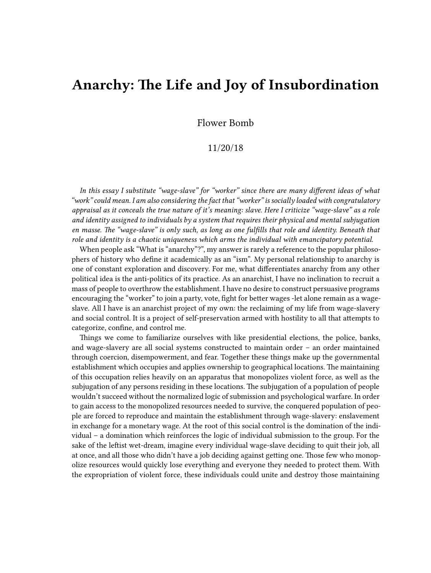## **Anarchy: The Life and Joy of Insubordination**

Flower Bomb

## 11/20/18

*In this essay I substitute "wage-slave" for "worker" since there are many different ideas of what "work" could mean. I am also considering the fact that "worker" is socially loaded with congratulatory appraisal as it conceals the true nature of it's meaning: slave. Here I criticize "wage-slave" as a role and identity assigned to individuals by a system that requires their physical and mental subjugation en masse. The "wage-slave" is only such, as long as one fulfills that role and identity. Beneath that role and identity is a chaotic uniqueness which arms the individual with emancipatory potential.*

When people ask "What is "anarchy"?", my answer is rarely a reference to the popular philosophers of history who define it academically as an "ism". My personal relationship to anarchy is one of constant exploration and discovery. For me, what differentiates anarchy from any other political idea is the anti-politics of its practice. As an anarchist, I have no inclination to recruit a mass of people to overthrow the establishment. I have no desire to construct persuasive programs encouraging the "worker" to join a party, vote, fight for better wages -let alone remain as a wageslave. All I have is an anarchist project of my own: the reclaiming of my life from wage-slavery and social control. It is a project of self-preservation armed with hostility to all that attempts to categorize, confine, and control me.

Things we come to familiarize ourselves with like presidential elections, the police, banks, and wage-slavery are all social systems constructed to maintain order – an order maintained through coercion, disempowerment, and fear. Together these things make up the governmental establishment which occupies and applies ownership to geographical locations. The maintaining of this occupation relies heavily on an apparatus that monopolizes violent force, as well as the subjugation of any persons residing in these locations. The subjugation of a population of people wouldn't succeed without the normalized logic of submission and psychological warfare. In order to gain access to the monopolized resources needed to survive, the conquered population of people are forced to reproduce and maintain the establishment through wage-slavery: enslavement in exchange for a monetary wage. At the root of this social control is the domination of the individual – a domination which reinforces the logic of individual submission to the group. For the sake of the leftist wet-dream, imagine every individual wage-slave deciding to quit their job, all at once, and all those who didn't have a job deciding against getting one. Those few who monopolize resources would quickly lose everything and everyone they needed to protect them. With the expropriation of violent force, these individuals could unite and destroy those maintaining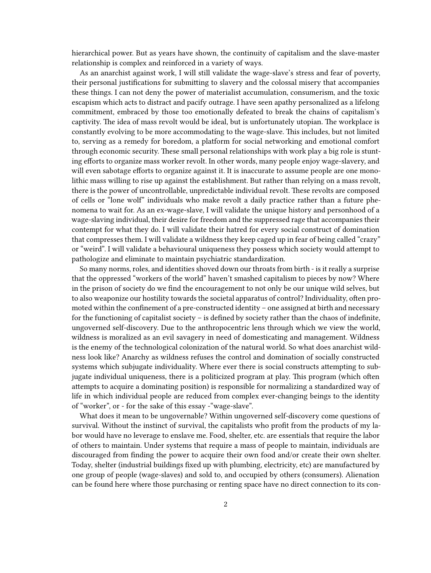hierarchical power. But as years have shown, the continuity of capitalism and the slave-master relationship is complex and reinforced in a variety of ways.

As an anarchist against work, I will still validate the wage-slave's stress and fear of poverty, their personal justifications for submitting to slavery and the colossal misery that accompanies these things. I can not deny the power of materialist accumulation, consumerism, and the toxic escapism which acts to distract and pacify outrage. I have seen apathy personalized as a lifelong commitment, embraced by those too emotionally defeated to break the chains of capitalism's captivity. The idea of mass revolt would be ideal, but is unfortunately utopian. The workplace is constantly evolving to be more accommodating to the wage-slave. This includes, but not limited to, serving as a remedy for boredom, a platform for social networking and emotional comfort through economic security. These small personal relationships with work play a big role is stunting efforts to organize mass worker revolt. In other words, many people enjoy wage-slavery, and will even sabotage efforts to organize against it. It is inaccurate to assume people are one monolithic mass willing to rise up against the establishment. But rather than relying on a mass revolt, there is the power of uncontrollable, unpredictable individual revolt. These revolts are composed of cells or "lone wolf" individuals who make revolt a daily practice rather than a future phenomena to wait for. As an ex-wage-slave, I will validate the unique history and personhood of a wage-slaving individual, their desire for freedom and the suppressed rage that accompanies their contempt for what they do. I will validate their hatred for every social construct of domination that compresses them. I will validate a wildness they keep caged up in fear of being called "crazy" or "weird". I will validate a behavioural uniqueness they possess which society would attempt to pathologize and eliminate to maintain psychiatric standardization.

So many norms, roles, and identities shoved down our throats from birth - is it really a surprise that the oppressed "workers of the world" haven't smashed capitalism to pieces by now? Where in the prison of society do we find the encouragement to not only be our unique wild selves, but to also weaponize our hostility towards the societal apparatus of control? Individuality, often promoted within the confinement of a pre-constructed identity – one assigned at birth and necessary for the functioning of capitalist society – is defined by society rather than the chaos of indefinite, ungoverned self-discovery. Due to the anthropocentric lens through which we view the world, wildness is moralized as an evil savagery in need of domesticating and management. Wildness is the enemy of the technological colonization of the natural world. So what does anarchist wildness look like? Anarchy as wildness refuses the control and domination of socially constructed systems which subjugate individuality. Where ever there is social constructs attempting to subjugate individual uniqueness, there is a politicized program at play. This program (which often attempts to acquire a dominating position) is responsible for normalizing a standardized way of life in which individual people are reduced from complex ever-changing beings to the identity of "worker", or - for the sake of this essay -"wage-slave".

What does it mean to be ungovernable? Within ungoverned self-discovery come questions of survival. Without the instinct of survival, the capitalists who profit from the products of my labor would have no leverage to enslave me. Food, shelter, etc. are essentials that require the labor of others to maintain. Under systems that require a mass of people to maintain, individuals are discouraged from finding the power to acquire their own food and/or create their own shelter. Today, shelter (industrial buildings fixed up with plumbing, electricity, etc) are manufactured by one group of people (wage-slaves) and sold to, and occupied by others (consumers). Alienation can be found here where those purchasing or renting space have no direct connection to its con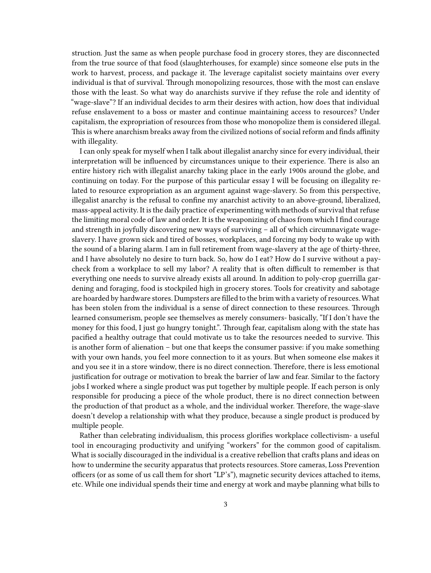struction. Just the same as when people purchase food in grocery stores, they are disconnected from the true source of that food (slaughterhouses, for example) since someone else puts in the work to harvest, process, and package it. The leverage capitalist society maintains over every individual is that of survival. Through monopolizing resources, those with the most can enslave those with the least. So what way do anarchists survive if they refuse the role and identity of "wage-slave"? If an individual decides to arm their desires with action, how does that individual refuse enslavement to a boss or master and continue maintaining access to resources? Under capitalism, the expropriation of resources from those who monopolize them is considered illegal. This is where anarchism breaks away from the civilized notions of social reform and finds affinity with illegality.

I can only speak for myself when I talk about illegalist anarchy since for every individual, their interpretation will be influenced by circumstances unique to their experience. There is also an entire history rich with illegalist anarchy taking place in the early 1900s around the globe, and continuing on today. For the purpose of this particular essay I will be focusing on illegality related to resource expropriation as an argument against wage-slavery. So from this perspective, illegalist anarchy is the refusal to confine my anarchist activity to an above-ground, liberalized, mass-appeal activity. It is the daily practice of experimenting with methods of survival that refuse the limiting moral code of law and order. It is the weaponizing of chaos from which I find courage and strength in joyfully discovering new ways of surviving – all of which circumnavigate wageslavery. I have grown sick and tired of bosses, workplaces, and forcing my body to wake up with the sound of a blaring alarm. I am in full retirement from wage-slavery at the age of thirty-three, and I have absolutely no desire to turn back. So, how do I eat? How do I survive without a paycheck from a workplace to sell my labor? A reality that is often difficult to remember is that everything one needs to survive already exists all around. In addition to poly-crop guerrilla gardening and foraging, food is stockpiled high in grocery stores. Tools for creativity and sabotage are hoarded by hardware stores. Dumpsters are filled to the brim with a variety of resources. What has been stolen from the individual is a sense of direct connection to these resources. Through learned consumerism, people see themselves as merely consumers- basically, "If I don't have the money for this food, I just go hungry tonight.". Through fear, capitalism along with the state has pacified a healthy outrage that could motivate us to take the resources needed to survive. This is another form of alienation – but one that keeps the consumer passive: if you make something with your own hands, you feel more connection to it as yours. But when someone else makes it and you see it in a store window, there is no direct connection. Therefore, there is less emotional justification for outrage or motivation to break the barrier of law and fear. Similar to the factory jobs I worked where a single product was put together by multiple people. If each person is only responsible for producing a piece of the whole product, there is no direct connection between the production of that product as a whole, and the individual worker. Therefore, the wage-slave doesn't develop a relationship with what they produce, because a single product is produced by multiple people.

Rather than celebrating individualism, this process glorifies workplace collectivism- a useful tool in encouraging productivity and unifying "workers" for the common good of capitalism. What is socially discouraged in the individual is a creative rebellion that crafts plans and ideas on how to undermine the security apparatus that protects resources. Store cameras, Loss Prevention officers (or as some of us call them for short "LP's"), magnetic security devices attached to items, etc. While one individual spends their time and energy at work and maybe planning what bills to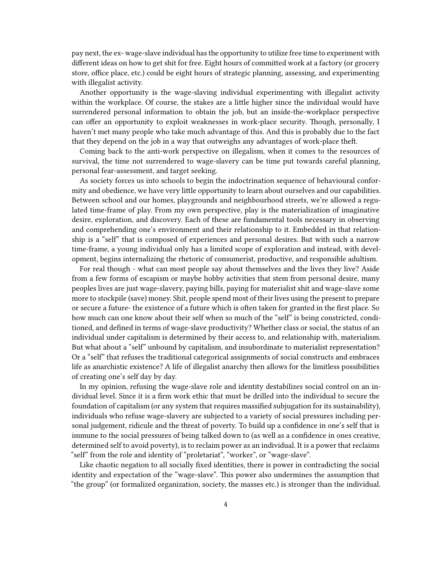pay next, the ex- wage-slave individual has the opportunity to utilize free time to experiment with different ideas on how to get shit for free. Eight hours of committed work at a factory (or grocery store, office place, etc.) could be eight hours of strategic planning, assessing, and experimenting with illegalist activity.

Another opportunity is the wage-slaving individual experimenting with illegalist activity within the workplace. Of course, the stakes are a little higher since the individual would have surrendered personal information to obtain the job, but an inside-the-workplace perspective can offer an opportunity to exploit weaknesses in work-place security. Though, personally, I haven't met many people who take much advantage of this. And this is probably due to the fact that they depend on the job in a way that outweighs any advantages of work-place theft.

Coming back to the anti-work perspective on illegalism, when it comes to the resources of survival, the time not surrendered to wage-slavery can be time put towards careful planning, personal fear-assessment, and target seeking.

As society forces us into schools to begin the indoctrination sequence of behavioural conformity and obedience, we have very little opportunity to learn about ourselves and our capabilities. Between school and our homes, playgrounds and neighbourhood streets, we're allowed a regulated time-frame of play. From my own perspective, play is the materialization of imaginative desire, exploration, and discovery. Each of these are fundamental tools necessary in observing and comprehending one's environment and their relationship to it. Embedded in that relationship is a "self" that is composed of experiences and personal desires. But with such a narrow time-frame, a young individual only has a limited scope of exploration and instead, with development, begins internalizing the rhetoric of consumerist, productive, and responsible adultism.

For real though - what can most people say about themselves and the lives they live? Aside from a few forms of escapism or maybe hobby activities that stem from personal desire, many peoples lives are just wage-slavery, paying bills, paying for materialist shit and wage-slave some more to stockpile (save) money. Shit, people spend most of their lives using the present to prepare or secure a future- the existence of a future which is often taken for granted in the first place. So how much can one know about their self when so much of the "self" is being constricted, conditioned, and defined in terms of wage-slave productivity? Whether class or social, the status of an individual under capitalism is determined by their access to, and relationship with, materialism. But what about a "self" unbound by capitalism, and insubordinate to materialist representation? Or a "self" that refuses the traditional categorical assignments of social constructs and embraces life as anarchistic existence? A life of illegalist anarchy then allows for the limitless possibilities of creating one's self day by day.

In my opinion, refusing the wage-slave role and identity destabilizes social control on an individual level. Since it is a firm work ethic that must be drilled into the individual to secure the foundation of capitalism (or any system that requires massified subjugation for its sustainability), individuals who refuse wage-slavery are subjected to a variety of social pressures including personal judgement, ridicule and the threat of poverty. To build up a confidence in one's self that is immune to the social pressures of being talked down to (as well as a confidence in ones creative, determined self to avoid poverty), is to reclaim power as an individual. It is a power that reclaims "self" from the role and identity of "proletariat", "worker", or "wage-slave".

Like chaotic negation to all socially fixed identities, there is power in contradicting the social identity and expectation of the "wage-slave". This power also undermines the assumption that "the group" (or formalized organization, society, the masses etc.) is stronger than the individual.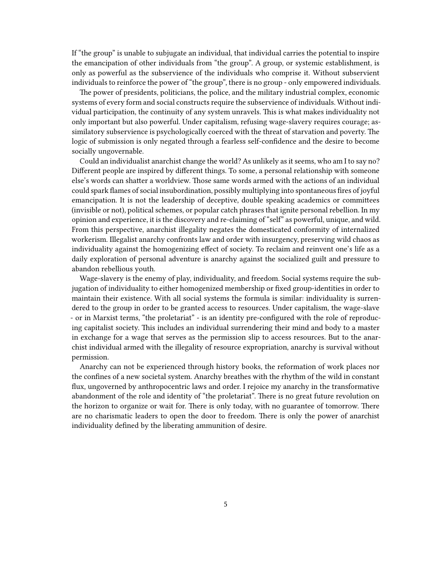If "the group" is unable to subjugate an individual, that individual carries the potential to inspire the emancipation of other individuals from "the group". A group, or systemic establishment, is only as powerful as the subservience of the individuals who comprise it. Without subservient individuals to reinforce the power of "the group", there is no group - only empowered individuals.

The power of presidents, politicians, the police, and the military industrial complex, economic systems of every form and social constructs require the subservience of individuals. Without individual participation, the continuity of any system unravels. This is what makes individuality not only important but also powerful. Under capitalism, refusing wage-slavery requires courage; assimilatory subservience is psychologically coerced with the threat of starvation and poverty. The logic of submission is only negated through a fearless self-confidence and the desire to become socially ungovernable.

Could an individualist anarchist change the world? As unlikely as it seems, who am I to say no? Different people are inspired by different things. To some, a personal relationship with someone else's words can shatter a worldview. Those same words armed with the actions of an individual could spark flames of social insubordination, possibly multiplying into spontaneous fires of joyful emancipation. It is not the leadership of deceptive, double speaking academics or committees (invisible or not), political schemes, or popular catch phrases that ignite personal rebellion. In my opinion and experience, it is the discovery and re-claiming of "self" as powerful, unique, and wild. From this perspective, anarchist illegality negates the domesticated conformity of internalized workerism. Illegalist anarchy confronts law and order with insurgency, preserving wild chaos as individuality against the homogenizing effect of society. To reclaim and reinvent one's life as a daily exploration of personal adventure is anarchy against the socialized guilt and pressure to abandon rebellious youth.

Wage-slavery is the enemy of play, individuality, and freedom. Social systems require the subjugation of individuality to either homogenized membership or fixed group-identities in order to maintain their existence. With all social systems the formula is similar: individuality is surrendered to the group in order to be granted access to resources. Under capitalism, the wage-slave - or in Marxist terms, "the proletariat" - is an identity pre-configured with the role of reproducing capitalist society. This includes an individual surrendering their mind and body to a master in exchange for a wage that serves as the permission slip to access resources. But to the anarchist individual armed with the illegality of resource expropriation, anarchy is survival without permission.

Anarchy can not be experienced through history books, the reformation of work places nor the confines of a new societal system. Anarchy breathes with the rhythm of the wild in constant flux, ungoverned by anthropocentric laws and order. I rejoice my anarchy in the transformative abandonment of the role and identity of "the proletariat". There is no great future revolution on the horizon to organize or wait for. There is only today, with no guarantee of tomorrow. There are no charismatic leaders to open the door to freedom. There is only the power of anarchist individuality defined by the liberating ammunition of desire.